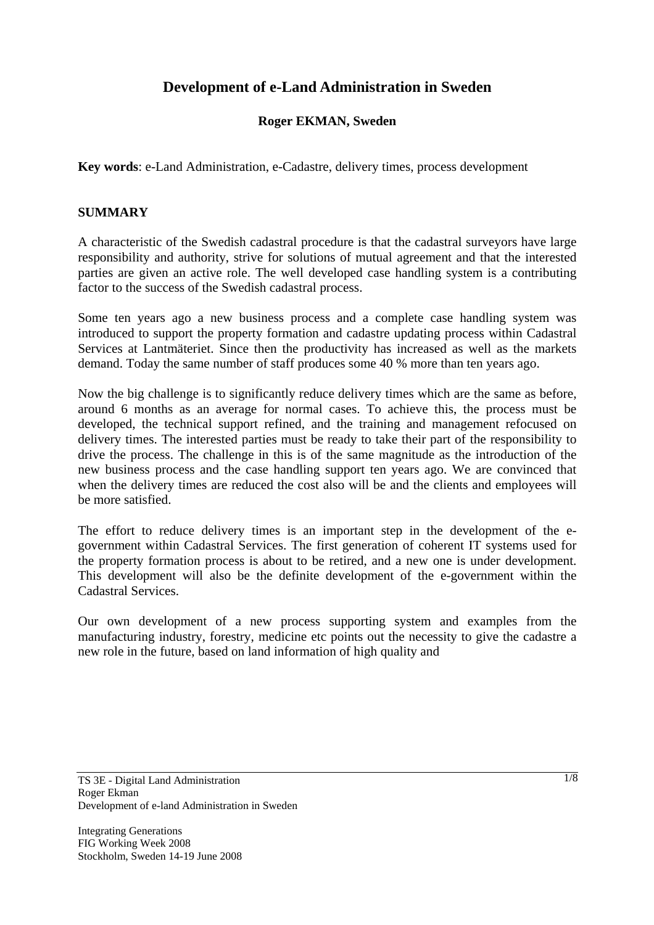# **Development of e-Land Administration in Sweden**

## **Roger EKMAN, Sweden**

**Key words**: e-Land Administration, e-Cadastre, delivery times, process development

#### **SUMMARY**

A characteristic of the Swedish cadastral procedure is that the cadastral surveyors have large responsibility and authority, strive for solutions of mutual agreement and that the interested parties are given an active role. The well developed case handling system is a contributing factor to the success of the Swedish cadastral process.

Some ten years ago a new business process and a complete case handling system was introduced to support the property formation and cadastre updating process within Cadastral Services at Lantmäteriet. Since then the productivity has increased as well as the markets demand. Today the same number of staff produces some 40 % more than ten years ago.

Now the big challenge is to significantly reduce delivery times which are the same as before, around 6 months as an average for normal cases. To achieve this, the process must be developed, the technical support refined, and the training and management refocused on delivery times. The interested parties must be ready to take their part of the responsibility to drive the process. The challenge in this is of the same magnitude as the introduction of the new business process and the case handling support ten years ago. We are convinced that when the delivery times are reduced the cost also will be and the clients and employees will be more satisfied.

The effort to reduce delivery times is an important step in the development of the egovernment within Cadastral Services. The first generation of coherent IT systems used for the property formation process is about to be retired, and a new one is under development. This development will also be the definite development of the e-government within the Cadastral Services.

Our own development of a new process supporting system and examples from the manufacturing industry, forestry, medicine etc points out the necessity to give the cadastre a new role in the future, based on land information of high quality and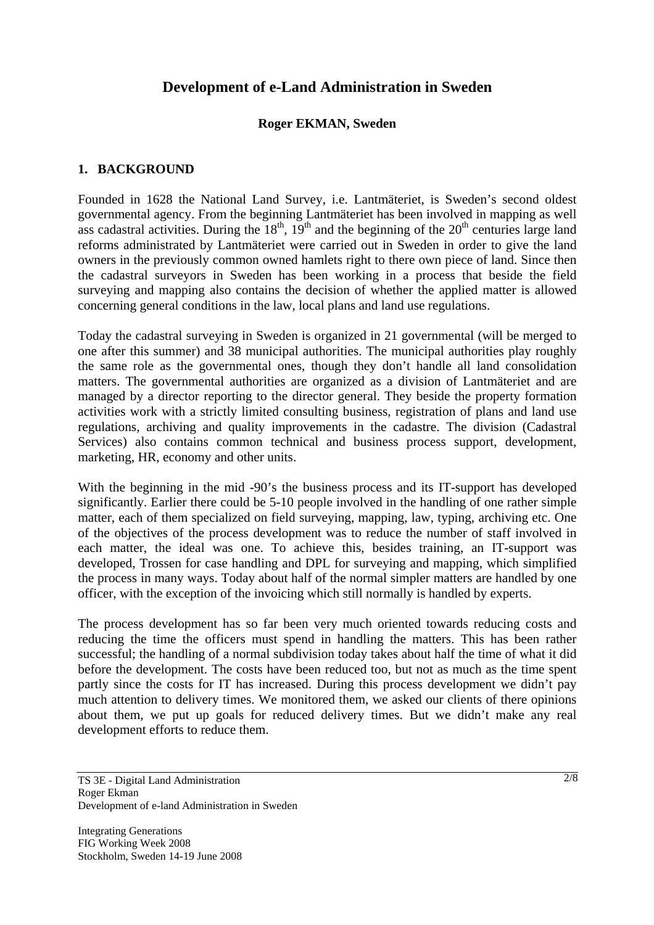# **Development of e-Land Administration in Sweden**

#### **Roger EKMAN, Sweden**

#### **1. BACKGROUND**

Founded in 1628 the National Land Survey, i.e. Lantmäteriet, is Sweden's second oldest governmental agency. From the beginning Lantmäteriet has been involved in mapping as well ass cadastral activities. During the  $18^{th}$ ,  $19^{th}$  and the beginning of the  $20^{th}$  centuries large land reforms administrated by Lantmäteriet were carried out in Sweden in order to give the land owners in the previously common owned hamlets right to there own piece of land. Since then the cadastral surveyors in Sweden has been working in a process that beside the field surveying and mapping also contains the decision of whether the applied matter is allowed concerning general conditions in the law, local plans and land use regulations.

Today the cadastral surveying in Sweden is organized in 21 governmental (will be merged to one after this summer) and 38 municipal authorities. The municipal authorities play roughly the same role as the governmental ones, though they don't handle all land consolidation matters. The governmental authorities are organized as a division of Lantmäteriet and are managed by a director reporting to the director general. They beside the property formation activities work with a strictly limited consulting business, registration of plans and land use regulations, archiving and quality improvements in the cadastre. The division (Cadastral Services) also contains common technical and business process support, development, marketing, HR, economy and other units.

With the beginning in the mid -90's the business process and its IT-support has developed significantly. Earlier there could be 5-10 people involved in the handling of one rather simple matter, each of them specialized on field surveying, mapping, law, typing, archiving etc. One of the objectives of the process development was to reduce the number of staff involved in each matter, the ideal was one. To achieve this, besides training, an IT-support was developed, Trossen for case handling and DPL for surveying and mapping, which simplified the process in many ways. Today about half of the normal simpler matters are handled by one officer, with the exception of the invoicing which still normally is handled by experts.

The process development has so far been very much oriented towards reducing costs and reducing the time the officers must spend in handling the matters. This has been rather successful; the handling of a normal subdivision today takes about half the time of what it did before the development. The costs have been reduced too, but not as much as the time spent partly since the costs for IT has increased. During this process development we didn't pay much attention to delivery times. We monitored them, we asked our clients of there opinions about them, we put up goals for reduced delivery times. But we didn't make any real development efforts to reduce them.

Integrating Generations FIG Working Week 2008 Stockholm, Sweden 14-19 June 2008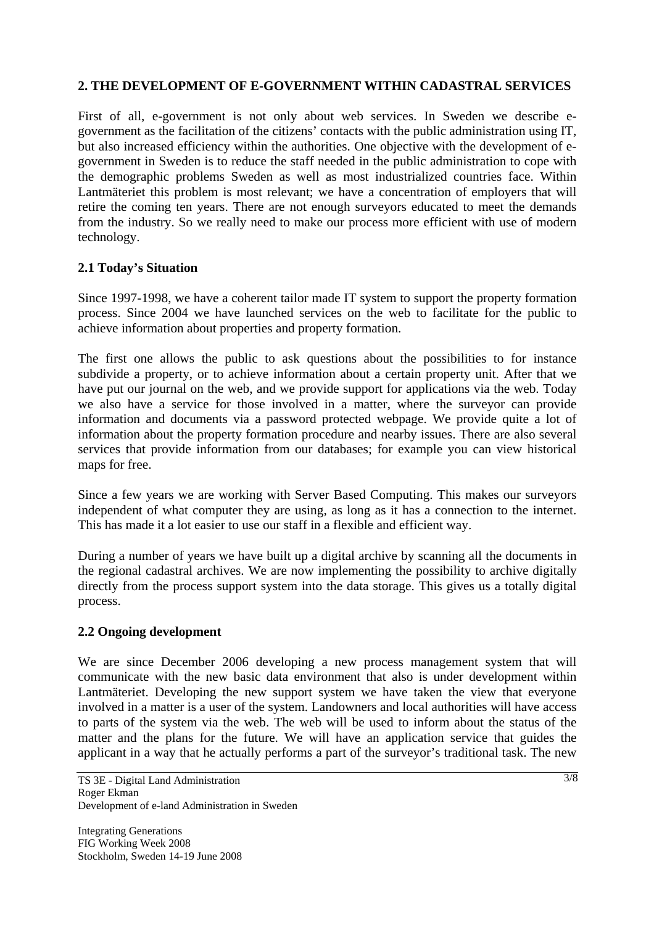## **2. THE DEVELOPMENT OF E-GOVERNMENT WITHIN CADASTRAL SERVICES**

First of all, e-government is not only about web services. In Sweden we describe egovernment as the facilitation of the citizens' contacts with the public administration using IT, but also increased efficiency within the authorities. One objective with the development of egovernment in Sweden is to reduce the staff needed in the public administration to cope with the demographic problems Sweden as well as most industrialized countries face. Within Lantmäteriet this problem is most relevant; we have a concentration of employers that will retire the coming ten years. There are not enough surveyors educated to meet the demands from the industry. So we really need to make our process more efficient with use of modern technology.

## **2.1 Today's Situation**

Since 1997-1998, we have a coherent tailor made IT system to support the property formation process. Since 2004 we have launched services on the web to facilitate for the public to achieve information about properties and property formation.

The first one allows the public to ask questions about the possibilities to for instance subdivide a property, or to achieve information about a certain property unit. After that we have put our journal on the web, and we provide support for applications via the web. Today we also have a service for those involved in a matter, where the surveyor can provide information and documents via a password protected webpage. We provide quite a lot of information about the property formation procedure and nearby issues. There are also several services that provide information from our databases; for example you can view historical maps for free.

Since a few years we are working with Server Based Computing. This makes our surveyors independent of what computer they are using, as long as it has a connection to the internet. This has made it a lot easier to use our staff in a flexible and efficient way.

During a number of years we have built up a digital archive by scanning all the documents in the regional cadastral archives. We are now implementing the possibility to archive digitally directly from the process support system into the data storage. This gives us a totally digital process.

### **2.2 Ongoing development**

We are since December 2006 developing a new process management system that will communicate with the new basic data environment that also is under development within Lantmäteriet. Developing the new support system we have taken the view that everyone involved in a matter is a user of the system. Landowners and local authorities will have access to parts of the system via the web. The web will be used to inform about the status of the matter and the plans for the future. We will have an application service that guides the applicant in a way that he actually performs a part of the surveyor's traditional task. The new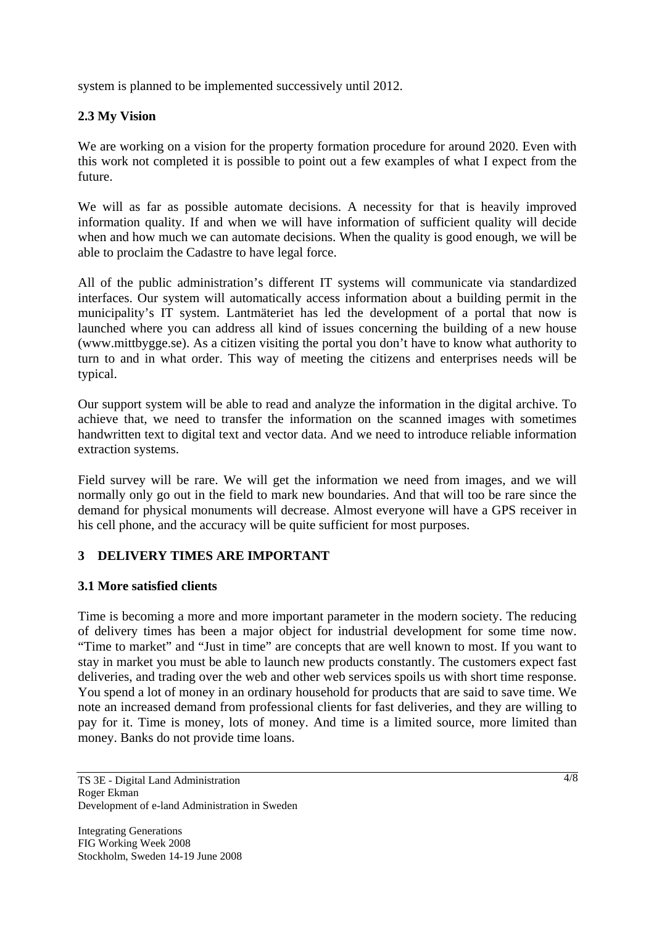system is planned to be implemented successively until 2012.

# **2.3 My Vision**

We are working on a vision for the property formation procedure for around 2020. Even with this work not completed it is possible to point out a few examples of what I expect from the future.

We will as far as possible automate decisions. A necessity for that is heavily improved information quality. If and when we will have information of sufficient quality will decide when and how much we can automate decisions. When the quality is good enough, we will be able to proclaim the Cadastre to have legal force.

All of the public administration's different IT systems will communicate via standardized interfaces. Our system will automatically access information about a building permit in the municipality's IT system. Lantmäteriet has led the development of a portal that now is launched where you can address all kind of issues concerning the building of a new house (www.mittbygge.se). As a citizen visiting the portal you don't have to know what authority to turn to and in what order. This way of meeting the citizens and enterprises needs will be typical.

Our support system will be able to read and analyze the information in the digital archive. To achieve that, we need to transfer the information on the scanned images with sometimes handwritten text to digital text and vector data. And we need to introduce reliable information extraction systems.

Field survey will be rare. We will get the information we need from images, and we will normally only go out in the field to mark new boundaries. And that will too be rare since the demand for physical monuments will decrease. Almost everyone will have a GPS receiver in his cell phone, and the accuracy will be quite sufficient for most purposes.

### **3 DELIVERY TIMES ARE IMPORTANT**

### **3.1 More satisfied clients**

Time is becoming a more and more important parameter in the modern society. The reducing of delivery times has been a major object for industrial development for some time now. "Time to market" and "Just in time" are concepts that are well known to most. If you want to stay in market you must be able to launch new products constantly. The customers expect fast deliveries, and trading over the web and other web services spoils us with short time response. You spend a lot of money in an ordinary household for products that are said to save time. We note an increased demand from professional clients for fast deliveries, and they are willing to pay for it. Time is money, lots of money. And time is a limited source, more limited than money. Banks do not provide time loans.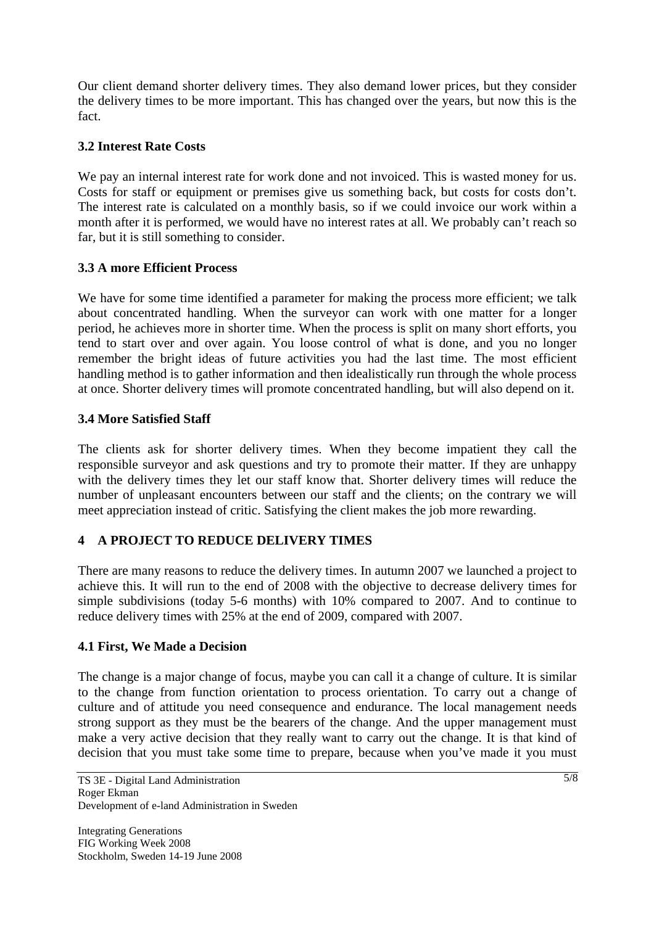Our client demand shorter delivery times. They also demand lower prices, but they consider the delivery times to be more important. This has changed over the years, but now this is the fact.

## **3.2 Interest Rate Costs**

We pay an internal interest rate for work done and not invoiced. This is wasted money for us. Costs for staff or equipment or premises give us something back, but costs for costs don't. The interest rate is calculated on a monthly basis, so if we could invoice our work within a month after it is performed, we would have no interest rates at all. We probably can't reach so far, but it is still something to consider.

## **3.3 A more Efficient Process**

We have for some time identified a parameter for making the process more efficient; we talk about concentrated handling. When the surveyor can work with one matter for a longer period, he achieves more in shorter time. When the process is split on many short efforts, you tend to start over and over again. You loose control of what is done, and you no longer remember the bright ideas of future activities you had the last time. The most efficient handling method is to gather information and then idealistically run through the whole process at once. Shorter delivery times will promote concentrated handling, but will also depend on it.

### **3.4 More Satisfied Staff**

The clients ask for shorter delivery times. When they become impatient they call the responsible surveyor and ask questions and try to promote their matter. If they are unhappy with the delivery times they let our staff know that. Shorter delivery times will reduce the number of unpleasant encounters between our staff and the clients; on the contrary we will meet appreciation instead of critic. Satisfying the client makes the job more rewarding.

# **4 A PROJECT TO REDUCE DELIVERY TIMES**

There are many reasons to reduce the delivery times. In autumn 2007 we launched a project to achieve this. It will run to the end of 2008 with the objective to decrease delivery times for simple subdivisions (today 5-6 months) with 10% compared to 2007. And to continue to reduce delivery times with 25% at the end of 2009, compared with 2007.

### **4.1 First, We Made a Decision**

The change is a major change of focus, maybe you can call it a change of culture. It is similar to the change from function orientation to process orientation. To carry out a change of culture and of attitude you need consequence and endurance. The local management needs strong support as they must be the bearers of the change. And the upper management must make a very active decision that they really want to carry out the change. It is that kind of decision that you must take some time to prepare, because when you've made it you must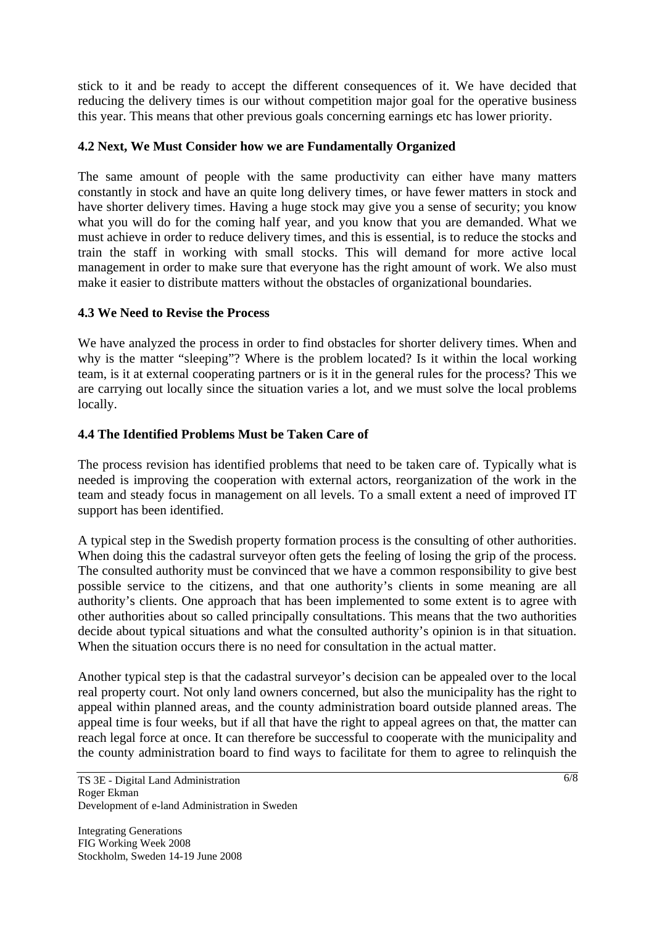stick to it and be ready to accept the different consequences of it. We have decided that reducing the delivery times is our without competition major goal for the operative business this year. This means that other previous goals concerning earnings etc has lower priority.

## **4.2 Next, We Must Consider how we are Fundamentally Organized**

The same amount of people with the same productivity can either have many matters constantly in stock and have an quite long delivery times, or have fewer matters in stock and have shorter delivery times. Having a huge stock may give you a sense of security; you know what you will do for the coming half year, and you know that you are demanded. What we must achieve in order to reduce delivery times, and this is essential, is to reduce the stocks and train the staff in working with small stocks. This will demand for more active local management in order to make sure that everyone has the right amount of work. We also must make it easier to distribute matters without the obstacles of organizational boundaries.

## **4.3 We Need to Revise the Process**

We have analyzed the process in order to find obstacles for shorter delivery times. When and why is the matter "sleeping"? Where is the problem located? Is it within the local working team, is it at external cooperating partners or is it in the general rules for the process? This we are carrying out locally since the situation varies a lot, and we must solve the local problems locally.

# **4.4 The Identified Problems Must be Taken Care of**

The process revision has identified problems that need to be taken care of. Typically what is needed is improving the cooperation with external actors, reorganization of the work in the team and steady focus in management on all levels. To a small extent a need of improved IT support has been identified.

A typical step in the Swedish property formation process is the consulting of other authorities. When doing this the cadastral surveyor often gets the feeling of losing the grip of the process. The consulted authority must be convinced that we have a common responsibility to give best possible service to the citizens, and that one authority's clients in some meaning are all authority's clients. One approach that has been implemented to some extent is to agree with other authorities about so called principally consultations. This means that the two authorities decide about typical situations and what the consulted authority's opinion is in that situation. When the situation occurs there is no need for consultation in the actual matter.

Another typical step is that the cadastral surveyor's decision can be appealed over to the local real property court. Not only land owners concerned, but also the municipality has the right to appeal within planned areas, and the county administration board outside planned areas. The appeal time is four weeks, but if all that have the right to appeal agrees on that, the matter can reach legal force at once. It can therefore be successful to cooperate with the municipality and the county administration board to find ways to facilitate for them to agree to relinquish the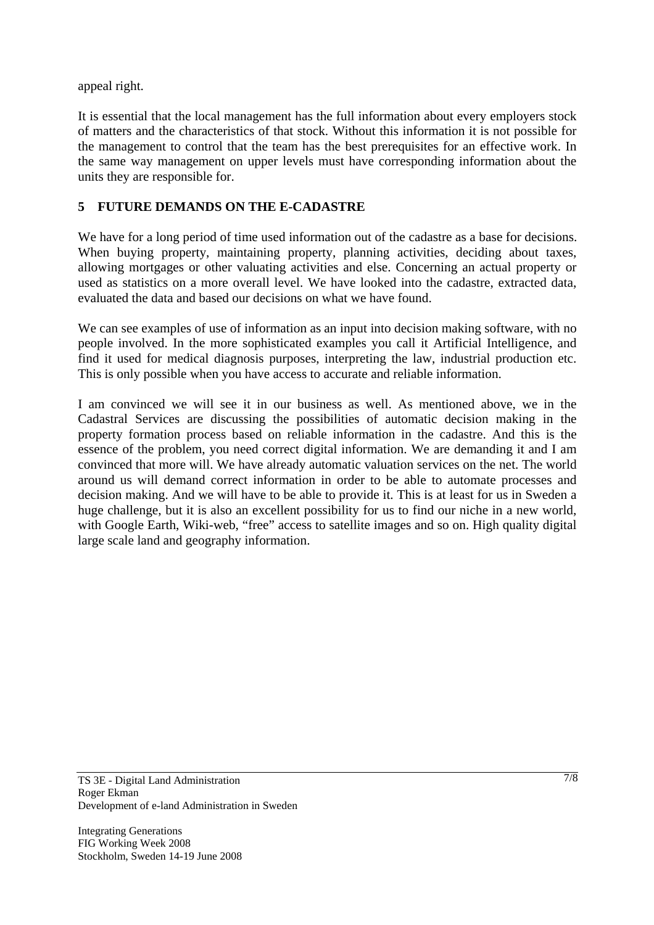appeal right.

It is essential that the local management has the full information about every employers stock of matters and the characteristics of that stock. Without this information it is not possible for the management to control that the team has the best prerequisites for an effective work. In the same way management on upper levels must have corresponding information about the units they are responsible for.

# **5 FUTURE DEMANDS ON THE E-CADASTRE**

We have for a long period of time used information out of the cadastre as a base for decisions. When buying property, maintaining property, planning activities, deciding about taxes, allowing mortgages or other valuating activities and else. Concerning an actual property or used as statistics on a more overall level. We have looked into the cadastre, extracted data, evaluated the data and based our decisions on what we have found.

We can see examples of use of information as an input into decision making software, with no people involved. In the more sophisticated examples you call it Artificial Intelligence, and find it used for medical diagnosis purposes, interpreting the law, industrial production etc. This is only possible when you have access to accurate and reliable information.

I am convinced we will see it in our business as well. As mentioned above, we in the Cadastral Services are discussing the possibilities of automatic decision making in the property formation process based on reliable information in the cadastre. And this is the essence of the problem, you need correct digital information. We are demanding it and I am convinced that more will. We have already automatic valuation services on the net. The world around us will demand correct information in order to be able to automate processes and decision making. And we will have to be able to provide it. This is at least for us in Sweden a huge challenge, but it is also an excellent possibility for us to find our niche in a new world, with Google Earth, Wiki-web, "free" access to satellite images and so on. High quality digital large scale land and geography information.